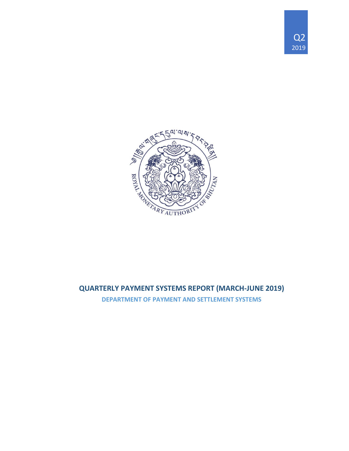



# **QUARTERLY PAYMENT SYSTEMS REPORT (MARCH-JUNE 2019)**

**DEPARTMENT OF PAYMENT AND SETTLEMENT SYSTEMS**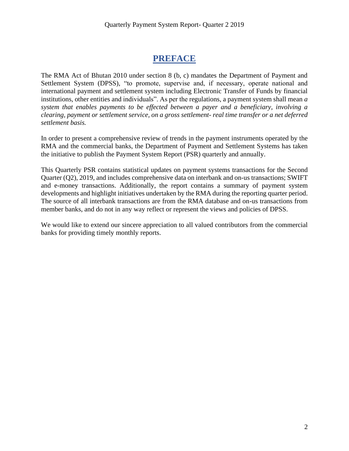# **PREFACE**

The RMA Act of Bhutan 2010 under section 8 (b, c) mandates the Department of Payment and Settlement System (DPSS), "to promote, supervise and, if necessary, operate national and international payment and settlement system including Electronic Transfer of Funds by financial institutions, other entities and individuals". As per the regulations, a payment system shall mean *a system that enables payments to be effected between a payer and a beneficiary, involving a clearing, payment or settlement service, on a gross settlement- real time transfer or a net deferred settlement basis.*

In order to present a comprehensive review of trends in the payment instruments operated by the RMA and the commercial banks, the Department of Payment and Settlement Systems has taken the initiative to publish the Payment System Report (PSR) quarterly and annually.

This Quarterly PSR contains statistical updates on payment systems transactions for the Second Quarter (Q2), 2019, and includes comprehensive data on interbank and on-us transactions; SWIFT and e-money transactions. Additionally, the report contains a summary of payment system developments and highlight initiatives undertaken by the RMA during the reporting quarter period. The source of all interbank transactions are from the RMA database and on-us transactions from member banks, and do not in any way reflect or represent the views and policies of DPSS.

We would like to extend our sincere appreciation to all valued contributors from the commercial banks for providing timely monthly reports.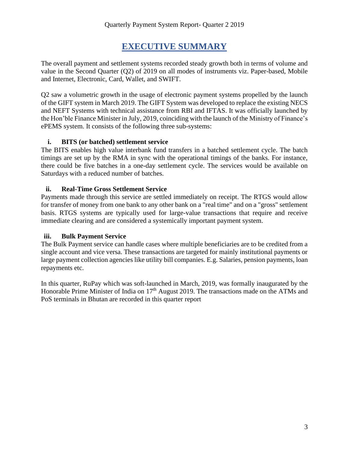# **EXECUTIVE SUMMARY**

The overall payment and settlement systems recorded steady growth both in terms of volume and value in the Second Quarter (Q2) of 2019 on all modes of instruments viz. Paper-based, Mobile and Internet, Electronic, Card, Wallet, and SWIFT.

Q2 saw a volumetric growth in the usage of electronic payment systems propelled by the launch of the GIFT system in March 2019. The GIFT System was developed to replace the existing NECS and NEFT Systems with technical assistance from RBI and IFTAS. It was officially launched by the Hon'ble Finance Minister in July, 2019, coinciding with the launch of the Ministry of Finance's ePEMS system. It consists of the following three sub-systems:

#### **i. BITS (or batched) settlement service**

The BITS enables high value interbank fund transfers in a batched settlement cycle. The batch timings are set up by the RMA in sync with the operational timings of the banks. For instance, there could be five batches in a one-day settlement cycle. The services would be available on Saturdays with a reduced number of batches.

#### **ii. Real-Time Gross Settlement Service**

Payments made through this service are settled immediately on receipt. The RTGS would allow for transfer of money from one bank to any other bank on a "real time" and on a "gross" settlement basis. RTGS systems are typically used for large-value transactions that require and receive immediate clearing and are considered a systemically important payment system.

#### **iii. Bulk Payment Service**

The Bulk Payment service can handle cases where multiple beneficiaries are to be credited from a single account and vice versa. These transactions are targeted for mainly institutional payments or large payment collection agencies like utility bill companies. E.g. Salaries, pension payments, loan repayments etc.

In this quarter, RuPay which was soft-launched in March, 2019, was formally inaugurated by the Honorable Prime Minister of India on 17<sup>th</sup> August 2019. The transactions made on the ATMs and PoS terminals in Bhutan are recorded in this quarter report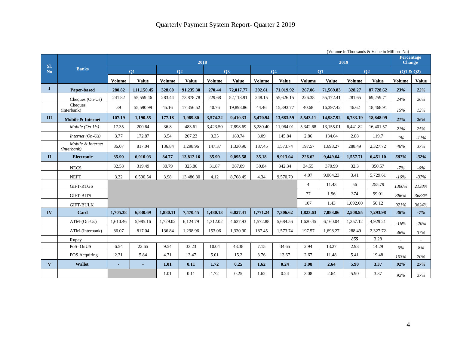|                       |                                  |                          |              |               |                |               |              |               |              |                |              | (Volume in Thousands & Value in Million-Nu) |                |                                    |              |
|-----------------------|----------------------------------|--------------------------|--------------|---------------|----------------|---------------|--------------|---------------|--------------|----------------|--------------|---------------------------------------------|----------------|------------------------------------|--------------|
|                       |                                  |                          |              |               | 2018           |               |              |               |              |                |              | 2019                                        |                | <b>Percentage</b><br><b>Change</b> |              |
| SI.<br>N <sub>o</sub> | <b>Banks</b>                     |                          | <b>O1</b>    |               | O <sub>2</sub> |               | <b>O3</b>    |               | <b>O4</b>    |                | <b>O1</b>    |                                             | O <sub>2</sub> | (Q1 & Q2)                          |              |
|                       |                                  |                          |              |               |                |               |              |               |              |                |              |                                             |                |                                    |              |
|                       |                                  | Volume                   | <b>Value</b> | <b>Volume</b> | <b>Value</b>   | <b>Volume</b> | <b>Value</b> | <b>Volume</b> | <b>Value</b> | <b>Volume</b>  | <b>Value</b> | Volume                                      | <b>Value</b>   | Volume                             | <b>Value</b> |
| 1                     | <b>Paper-based</b>               | 280.82                   | 111,150.45   | 328.60        | 91,235.30      | 270.44        | 72,017.77    | 292.61        | 71,019.92    | 267.06         | 71,569.83    | 328.27                                      | 87,728.62      | 23%                                | 23%          |
|                       | Cheques (On-Us)                  | 241.82                   | 55,559.46    | 283.44        | 73,878.78      | 229.68        | 52,118.91    | 248.15        | 55,626.15    | 226.38         | 55,172.41    | 281.65                                      | 69,259.71      | 24%                                | 26%          |
|                       | Cheques<br>(Interbank)           | 39                       | 55,590.99    | 45.16         | 17,356.52      | 40.76         | 19,898.86    | 44.46         | 15,393.77    | 40.68          | 16,397.42    | 46.62                                       | 18,468.91      | 15%                                | 13%          |
| $\mathbf{H}$          | Mobile & Internet                | 107.19                   | 1.190.55     | 177.18        | 1,989.80       | 3.574.22      | 9.410.33     | 5.470.94      | 13,683.59    | 5,543.11       | 14,987.92    | 6.733.19                                    | 18,848.99      | 21%                                | 26%          |
|                       | $Mobile (On-Us)$                 | 17.35                    | 200.64       | 36.8          | 483.61         | 3,423.50      | 7.898.69     | 5,280.40      | 11.964.01    | 5.342.68       | 13,155.01    | 6.441.82                                    | 16.401.57      | 21%                                | 25%          |
|                       | Internet $(On-Us)$               | 3.77                     | 172.87       | 3.54          | 207.23         | 3.35          | 180.74       | 3.09          | 145.84       | 2.86           | 134.64       | 2.88                                        | 119.7          | $1\%$                              | $-11\%$      |
|                       | Mobile & Internet<br>(Interbank) | 86.07                    | 817.04       | 136.84        | 1,298.96       | 147.37        | 1,330.90     | 187.45        | 1,573.74     | 197.57         | 1,698.27     | 288.49                                      | 2,327.72       | 46%                                | 37%          |
| $\mathbf{I}$          | <b>Electronic</b>                | 35.90                    | 6,910.03     | 34.77         | 13,812.16      | 35.99         | 9,095.58     | 35.18         | 9,913.04     | 226.62         | 9,449.64     | 1,557.71                                    | 6,451.10       | 587%                               | $-32%$       |
|                       | <b>NECS</b>                      | 32.58                    | 319.49       | 30.79         | 325.86         | 31.87         | 387.09       | 30.84         | 342.34       | 34.55          | 370.99       | 32.3                                        | 350.57         | $-7%$                              | $-6\%$       |
|                       | <b>NEFT</b>                      | 3.32                     | 6,590.54     | 3.98          | 13,486.30      | 4.12          | 8,708.49     | 4.34          | 9.570.70     | 4.07           | 9,064.23     | 3.41                                        | 5,729.61       | $-16%$                             | $-37%$       |
|                       | <b>GIFT-RTGS</b>                 |                          |              |               |                |               |              |               |              | $\overline{4}$ | 11.43        | 56                                          | 255.79         | 1300%                              | 2138%        |
|                       | <b>GIFT-BITS</b>                 |                          |              |               |                |               |              |               |              | 77             | 1.56         | 374                                         | 59.01          | 386%                               | 3683%        |
|                       | <b>GIFT-BULK</b>                 |                          |              |               |                |               |              |               |              | 107            | 1.43         | 1,092.00                                    | 56.12          | 921%                               | 3824%        |
| IV                    | Card                             | 1,705.38                 | 6,830.69     | 1,880.11      | 7,470.45       | 1,480.13      | 6,027.41     | 1,771.24      | 7,306.62     | 1,823.63       | 7,883.06     | 2,508.95                                    | 7,293.98       | 38%                                | $-7%$        |
|                       | $ATM$ - $(On$ - $Us)$            | 1.610.46                 | 5,985.16     | 1,729.02      | 6,124.79       | 1,312.02      | 4.637.93     | 1,572.88      | 5,684.56     | 1,620.45       | 6,160.04     | 1,357.12                                    | 4,929.21       | $-16%$                             | $-20%$       |
|                       | ATM-(Interbank)                  | 86.07                    | 817.04       | 136.84        | 1,298.96       | 153.06        | 1,330.90     | 187.45        | 1,573.74     | 197.57         | 1,698.27     | 288.49                                      | 2,327.72       | 46%                                | 37%          |
|                       | Rupay                            |                          |              |               |                |               |              |               |              |                |              | 855                                         | 3.28           |                                    |              |
|                       | PoS-OnUS                         | 6.54                     | 22.65        | 9.54          | 33.23          | 10.04         | 43.38        | 7.15          | 34.65        | 2.94           | 13.27        | 2.93                                        | 14.29          | $0\%$                              | $8\%$        |
|                       | POS Acquiring                    | 2.31                     | 5.84         | 4.71          | 13.47          | 5.01          | 15.2         | 3.76          | 13.67        | 2.67           | 11.48        | 5.41                                        | 19.48          | 103%                               | 70%          |
| $\mathbf{V}$          | <b>Wallet</b>                    | $\overline{\phantom{a}}$ |              | 1.01          | 0.11           | 1.72          | 0.25         | 1.62          | 0.24         | 3.08           | 2.64         | 5.90                                        | 3.37           | 92%                                | 27%          |
|                       |                                  |                          |              | 1.01          | 0.11           | 1.72          | 0.25         | 1.62          | 0.24         | 3.08           | 2.64         | 5.90                                        | 3.37           | 92%                                | 27%          |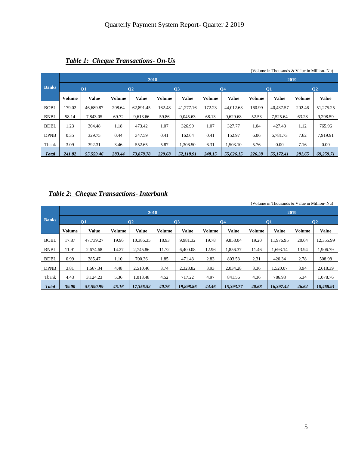|              |        |              |               |                |               |                |        |              |        | (Volume in Thousands & Value in Million-Nu) |        |                |
|--------------|--------|--------------|---------------|----------------|---------------|----------------|--------|--------------|--------|---------------------------------------------|--------|----------------|
|              |        |              |               | 2018           |               |                |        |              |        | 2019                                        |        |                |
| <b>Banks</b> |        | <b>O1</b>    |               | Q <sub>2</sub> |               | Q <sub>3</sub> |        | <b>O4</b>    |        | $\overline{01}$                             |        | Q <sub>2</sub> |
|              | Volume | <b>Value</b> | <b>Volume</b> | <b>Value</b>   | <b>Volume</b> | <b>Value</b>   | Volume | <b>Value</b> | Volume | <b>Value</b>                                | Volume | <b>Value</b>   |
| <b>BOBL</b>  | 179.02 | 46,689.87    | 208.64        | 62,891.45      | 162.48        | 41.277.16      | 172.23 | 44,012.63    | 160.99 | 40,437.57                                   | 202.46 | 51,275.25      |
| <b>BNBL</b>  | 58.14  | 7.843.05     | 69.72         | 9.613.66       | 59.86         | 9.045.63       | 68.13  | 9.629.68     | 52.53  | 7,525.64                                    | 63.28  | 9,298.59       |
| <b>BDBL</b>  | 1.23   | 304.48       | 1.18          | 473.42         | 1.07          | 326.99         | 1.07   | 327.77       | 1.04   | 427.48                                      | 1.12   | 765.96         |
| <b>DPNB</b>  | 0.35   | 329.75       | 0.44          | 347.59         | 0.41          | 162.64         | 0.41   | 152.97       | 6.06   | 6,781.73                                    | 7.62   | 7,919.91       |
| Tbank        | 3.09   | 392.31       | 3.46          | 552.65         | 5.87          | 1.306.50       | 6.31   | 1.503.10     | 5.76   | 0.00                                        | 7.16   | 0.00           |
| <b>Total</b> | 241.82 | 55,559.46    | 283.44        | 73,878.78      | 229.68        | 52.118.91      | 248.15 | 55.626.15    | 226.38 | 55,172.41                                   | 281.65 | 69,259.71      |

#### *Table 1: Cheque Transactions- On-Us*

#### *Table 2: Cheque Transactions- Interbank*

(Volume in Thousands & Value in Million- Nu) **Banks 2018 2019 Q1 Q2 Q3 Q4 Q1 Q2 Volume Value Volume Value Volume Value Volume Value Volume Value Volume Value** BOBL 17.87 47,739.27 19.96 10,386.35 18.93 9,981.32 19.78 9,858.04 19.20 11,976.95 20.64 12,355.99 BNBL 11.91 2,674.68 14.27 2,745.86 11.72 6,400.08 12.96 1,856.37 11.46 1,693.14 13.94 1,906.79 BDBL 0.99 385.47 1.10 700.36 1.85 471.43 2.83 803.53 2.31 420.34 2.78 508.98 DPNB 3.81 1,667.34 4.48 2,510.46 3.74 2,328.82 3.93 2,034.28 3.36 1,520.07 3.94 2,618.39 Tbank 4.43 3,124.23 5.36 1,013.48 4.52 717.22 4.97 841.56 4.36 786.93 5.34 1,078.76 *Total 39.00 55,590.99 45.16 17,356.52 40.76 19,898.86 44.46 15,393.77 40.68 16,397.42 46.62 18,468.91*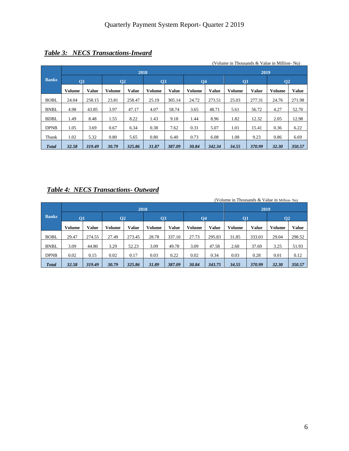|              |               |              |                |              |               |              |               |        | (Volume in Thousands & Value in Million-Nu) |              |                |              |
|--------------|---------------|--------------|----------------|--------------|---------------|--------------|---------------|--------|---------------------------------------------|--------------|----------------|--------------|
|              |               |              |                | 2018         |               |              |               |        |                                             | 2019         |                |              |
| <b>Banks</b> | Q1            |              | Q <sub>2</sub> |              | Q3            |              | <b>Q4</b>     |        | $\overline{O1}$                             |              | Q <sub>2</sub> |              |
|              | <b>Volume</b> | <b>Value</b> | <b>Volume</b>  | <b>Value</b> | <b>Volume</b> | <b>Value</b> | <b>Volume</b> | Value  | <b>Volume</b>                               | <b>Value</b> | <b>Volume</b>  | <b>Value</b> |
| <b>BOBL</b>  | 24.04         | 258.15       | 23.81          | 258.47       | 25.19         | 305.14       | 24.72         | 273.51 | 25.03                                       | 277.31       | 24.76          | 271.98       |
| <b>BNBL</b>  | 4.98          | 43.85        | 3.97           | 47.17        | 4.07          | 58.74        | 3.65          | 48.71  | 5.61                                        | 56.72        | 4.27           | 52.70        |
| <b>BDBL</b>  | 1.49          | 8.48         | 1.55           | 8.22         | 1.43          | 9.18         | 1.44          | 8.96   | 1.82                                        | 12.32        | 2.05           | 12.98        |
| <b>DPNB</b>  | 1.05          | 3.69         | 0.67           | 6.34         | 0.38          | 7.62         | 0.31          | 5.07   | 1.01                                        | 15.41        | 0.36           | 6.22         |
| Tbank        | 1.02          | 5.32         | 0.80           | 5.65         | 0.80          | 6.40         | 0.73          | 6.08   | 1.08                                        | 9.23         | 0.86           | 6.69         |
| <b>Total</b> | 32.58         | 319.49       | 30.79          | 325.86       | 31.87         | 387.09       | 30.84         | 342.34 | 34.55                                       | 370.99       | 32.30          | 350.57       |

## *Table 3: NECS Transactions-Inward*

## *Table 4: NECS Transactions- Outward*

|              |           |        |                 |              |                |              |           |              | (Volume in Thousands & Value in Million-Nu) |              |        |        |
|--------------|-----------|--------|-----------------|--------------|----------------|--------------|-----------|--------------|---------------------------------------------|--------------|--------|--------|
|              |           |        |                 | 2018         |                |              |           |              |                                             | 2019         |        |        |
| <b>Banks</b> | <b>O1</b> |        | $\overline{O2}$ |              | Q <sub>3</sub> |              | <b>O4</b> |              | <b>O1</b>                                   |              | 02     |        |
|              | Volume    | Value  | Volume          | <b>Value</b> | Volume         | <b>Value</b> | Volume    | <b>Value</b> | Volume                                      | <b>Value</b> | Volume | Value  |
| <b>BOBL</b>  | 29.47     | 274.55 | 27.49           | 273.45       | 28.78          | 337.10       | 27.73     | 295.83       | 31.85                                       | 333.03       | 29.04  | 298.52 |
| <b>BNBL</b>  | 3.09      | 44.80  | 3.29            | 52.23        | 3.09           | 49.78        | 3.09      | 47.58        | 2.68                                        | 37.69        | 3.25   | 51.93  |
| <b>DPNB</b>  | 0.02      | 0.15   | 0.02            | 0.17         | 0.03           | 0.22         | 0.02      | 0.34         | 0.03                                        | 0.28         | 0.01   | 0.12   |
| <b>Total</b> | 32.58     | 319.49 | 30.79           | 325.86       | 31.89          | 387.09       | 30.84     | 343.75       | 34.55                                       | 370.99       | 32.30  | 350.57 |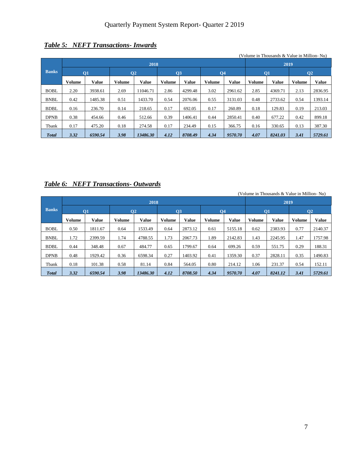|               |        |                         |                 |              |                 |              |                |              |        | (Volume in Thousands & Value in Million-Nu) |               |                |
|---------------|--------|-------------------------|-----------------|--------------|-----------------|--------------|----------------|--------------|--------|---------------------------------------------|---------------|----------------|
|               |        |                         |                 | 2018         |                 |              |                |              |        | 2019                                        |               |                |
| <b>Banks</b>  |        | $\overline{\textbf{O}}$ | $\overline{O2}$ |              | $\overline{O}3$ |              | Q <sub>4</sub> |              |        | $\overline{\text{O}}$ 1                     |               | Q <sub>2</sub> |
|               | Volume | <b>Value</b>            | Volume          | <b>Value</b> | <b>Volume</b>   | <b>Value</b> | Volume         | <b>Value</b> | Volume | Value                                       | <b>Volume</b> | Value          |
| <b>BOBL</b>   | 2.20   | 3938.61                 | 2.69            | 11046.71     | 2.86            | 4299.48      | 3.02           | 2961.62      | 2.85   | 4369.71                                     | 2.13          | 2836.95        |
| <b>BNBL</b>   | 0.42   | 1485.38                 | 0.51            | 1433.70      | 0.54            | 2076.06      | 0.55           | 3131.03      | 0.48   | 2733.62                                     | 0.54          | 1393.14        |
| <b>BDBL</b>   | 0.16   | 236.70                  | 0.14            | 218.65       | 0.17            | 692.05       | 0.17           | 260.89       | 0.18   | 129.83                                      | 0.19          | 213.03         |
| <b>DPNB</b>   | 0.38   | 454.66                  | 0.46            | 512.66       | 0.39            | 1406.41      | 0.44           | 2850.41      | 0.40   | 677.22                                      | 0.42          | 899.18         |
| Tbank         | 0.17   | 475.20                  | 0.18            | 274.58       | 0.17            | 234.49       | 0.15           | 366.75       | 0.16   | 330.65                                      | 0.13          | 387.30         |
| <b>T</b> otal | 3.32   | 6590.54                 | 3.98            | 13486.30     | 4.12            | 8708.49      | 4.34           | 9570.70      | 4.07   | 8241.03                                     | 3.41          | 5729.61        |

## *Table 5: NEFT Transactions- Inwards*

#### *Table 6: NEFT Transactions- Outwards*

|              |        |              |        |              |                 |              |                |         |        | (Volume in Thousands & Value in Million-Nu) |               |               |
|--------------|--------|--------------|--------|--------------|-----------------|--------------|----------------|---------|--------|---------------------------------------------|---------------|---------------|
|              |        |              |        | 2018         |                 |              |                |         |        | 2019                                        |               |               |
| <b>Banks</b> |        | <b>O1</b>    |        | 02           | $\overline{O3}$ |              | Q <sub>4</sub> |         |        | Q1                                          |               | $\mathbf{Q}2$ |
|              | Volume | <b>Value</b> | Volume | <b>Value</b> | Volume          | <b>Value</b> | Volume         | Value   | Volume | <b>Value</b>                                | <b>Volume</b> | <b>Value</b>  |
| <b>BOBL</b>  | 0.50   | 1811.67      | 0.64   | 1533.49      | 0.64            | 2873.12      | 0.61           | 5155.18 | 0.62   | 2383.93                                     | 0.77          | 2140.37       |
| <b>BNBL</b>  | 1.72   | 2399.59      | 1.74   | 4788.55      | 1.73            | 2067.73      | 1.89           | 2142.83 | 1.43   | 2245.95                                     | 1.47          | 1757.98       |
| <b>BDBL</b>  | 0.44   | 348.48       | 0.67   | 484.77       | 0.65            | 1799.67      | 0.64           | 699.26  | 0.59   | 551.75                                      | 0.29          | 188.31        |
| <b>DPNB</b>  | 0.48   | 1929.42      | 0.36   | 6598.34      | 0.27            | 1403.92      | 0.41           | 1359.30 | 0.37   | 2828.11                                     | 0.35          | 1490.83       |
| Tbank        | 0.18   | 101.38       | 0.58   | 81.14        | 0.84            | 564.05       | 0.80           | 214.12  | 1.06   | 231.37                                      | 0.54          | 152.11        |
| <b>Total</b> | 3.32   | 6590.54      | 3.98   | 13486.30     | 4.12            | 8708.50      | 4.34           | 9570.70 | 4.07   | 8241.12                                     | 3.41          | 5729.61       |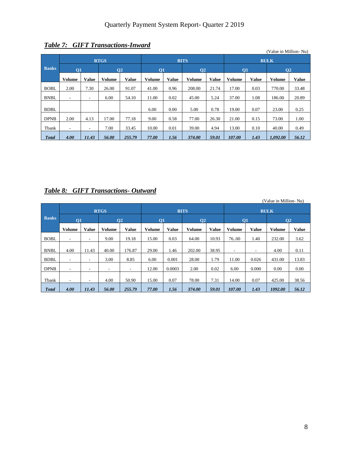|              |                          |              |               |                 |                         |              |                |              |                 |              | (Value in Million-Nu) |       |
|--------------|--------------------------|--------------|---------------|-----------------|-------------------------|--------------|----------------|--------------|-----------------|--------------|-----------------------|-------|
|              |                          |              | <b>RTGS</b>   |                 |                         |              | <b>BITS</b>    |              |                 |              | <b>BULK</b>           |       |
| <b>Banks</b> | $\overline{\textbf{O}}$  |              |               | $\overline{O2}$ | $\overline{\text{O}}$ 1 |              | Q <sub>2</sub> |              | $\overline{O1}$ |              | Q <sub>2</sub>        |       |
|              | <b>Volume</b>            | <b>Value</b> | <b>Volume</b> | <b>Value</b>    | <b>Volume</b>           | <b>Value</b> | <b>Volume</b>  | <b>Value</b> | <b>Volume</b>   | <b>Value</b> | <b>Volume</b>         | Value |
| <b>BOBL</b>  | 2.00                     | 7.30         | 26.00         | 91.07           | 41.00                   | 0.96         | 208.00         | 21.74        | 17.00           | 0.03         | 770.00                | 33.48 |
| <b>BNBL</b>  | $\overline{\phantom{a}}$ | ۰            | 6.00          | 54.10           | 11.00                   | 0.02         | 45.00          | 5.24         | 37.00           | 1.08         | 186.00                | 20.89 |
| <b>BDBL</b>  |                          |              |               |                 | 6.00                    | 0.00         | 5.00           | 0.78         | 19.00           | 0.07         | 23.00                 | 0.25  |
| <b>DPNB</b>  | 2.00                     | 4.13         | 17.00         | 77.18           | 9.00                    | 0.58         | 77.00          | 26.30        | 21.00           | 0.15         | 73.00                 | 1.00  |
| Tbank        | ۰                        | ۰            | 7.00          | 33.45           | 10.00                   | 0.01         | 39.00          | 4.94         | 13.00           | 0.10         | 40.00                 | 0.49  |
| <b>Total</b> | 4.00                     | 11.43        | 56.00         | 255.79          | 77.00                   | 1.56         | 374.00         | 59.01        | 107.00          | 1.43         | 1.092.00              | 56.12 |

## *Table 7: GIFT Transactions-Inward*

#### *Table 8: GIFT Transactions- Outward*

|              |                          |                          |               |                |               |              |                |              |                       |              | (Value in Million-Nu) |              |
|--------------|--------------------------|--------------------------|---------------|----------------|---------------|--------------|----------------|--------------|-----------------------|--------------|-----------------------|--------------|
|              |                          |                          | <b>RTGS</b>   |                |               |              | <b>BITS</b>    |              |                       |              | <b>BULK</b>           |              |
| <b>Banks</b> | Q1                       |                          |               | Q <sub>2</sub> | <b>O1</b>     |              | Q <sub>2</sub> |              | $\overline{\text{O}}$ |              | Q <sub>2</sub>        |              |
|              | <b>Volume</b>            | <b>Value</b>             | <b>Volume</b> | <b>Value</b>   | <b>Volume</b> | <b>Value</b> | Volume         | <b>Value</b> | <b>Volume</b>         | <b>Value</b> | <b>Volume</b>         | <b>Value</b> |
| <b>BOBL</b>  | ٠                        | ۰                        | 9.00          | 19.18          | 15.00         | 0.03         | 64.00          | 10.93        | 76.00                 | 1.40         | 232.00                | 3.62         |
| <b>BNBL</b>  | 4.00                     | 11.43                    | 40.00         | 176.87         | 29.00         | 1.46         | 202.00         | 38.95        | ٠                     | ۰.           | 4.00                  | 0.11         |
| <b>BDBL</b>  | ٠                        | $\overline{\phantom{a}}$ | 3.00          | 8.85           | 6.00          | 0.001        | 28.00          | 1.79         | 11.00                 | 0.026        | 431.00                | 13.83        |
| <b>DPNB</b>  | ٠                        | ۰                        | ۰             | ۰              | 12.00         | 0.0003       | 2.00           | 0.02         | 6.00                  | 0.000        | 0.00                  | 0.00         |
| Tbank        | $\overline{\phantom{a}}$ | ۰                        | 4.00          | 50.90          | 15.00         | 0.07         | 78.00          | 7.31         | 14.00                 | 0.07         | 425.00                | 38.56        |
| <b>Total</b> | 4.00                     | 11.43                    | 56.00         | 255.79         | 77.00         | 1.56         | 374.00         | 59.01        | 107.00                | 1.43         | 1092.00               | 56.12        |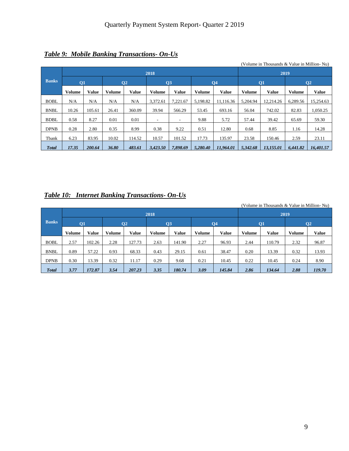|              |               |              |               |                |               |              |          |                |               | (Volume in Thousands & Value in Million-Nu) |               |                |
|--------------|---------------|--------------|---------------|----------------|---------------|--------------|----------|----------------|---------------|---------------------------------------------|---------------|----------------|
|              |               |              |               |                | 2018          |              |          |                |               | 2019                                        |               |                |
| <b>Banks</b> | Q1            |              |               | Q <sub>2</sub> | Q3            |              |          | Q <sub>4</sub> |               | $\overline{O1}$                             |               | Q <sub>2</sub> |
|              | <b>Volume</b> | <b>Value</b> | <b>Volume</b> | <b>Value</b>   | <b>Volume</b> | <b>Value</b> | Volume   | <b>Value</b>   | <b>Volume</b> | <b>Value</b>                                | <b>Volume</b> | <b>Value</b>   |
| <b>BOBL</b>  | N/A           | N/A          | N/A           | N/A            | 3,372.61      | 7,221.67     | 5,198.82 | 11,116.36      | 5,204.94      | 12.214.26                                   | 6,289.56      | 15,254.63      |
| <b>BNBL</b>  | 10.26         | 105.61       | 26.41         | 360.09         | 39.94         | 566.29       | 53.45    | 693.16         | 56.04         | 742.02                                      | 82.83         | 1,050.25       |
| <b>BDBL</b>  | 0.58          | 8.27         | 0.01          | 0.01           | ٠             | ٠            | 9.88     | 5.72           | 57.44         | 39.42                                       | 65.69         | 59.30          |
| <b>DPNB</b>  | 0.28          | 2.80         | 0.35          | 8.99           | 0.38          | 9.22         | 0.51     | 12.80          | 0.68          | 8.85                                        | 1.16          | 14.28          |
| Tbank        | 6.23          | 83.95        | 10.02         | 114.52         | 10.57         | 101.52       | 17.73    | 135.97         | 23.58         | 150.46                                      | 2.59          | 23.11          |
| <b>Total</b> | 17.35         | 200.64       | 36.80         | 483.61         | 3,423.50      | 7.898.69     | 5.280.40 | 11.964.01      | 5.342.68      | 13,155.01                                   | 6,441.82      | 16,401.57      |

## *Table 9: Mobile Banking Transactions- On-Us*

## *Table 10: Internet Banking Transactions- On-Us*

|              |        |              |               |                |               |        |        |                |        | (Volume in Thousands & Value in Million-Nu) |               |                |
|--------------|--------|--------------|---------------|----------------|---------------|--------|--------|----------------|--------|---------------------------------------------|---------------|----------------|
|              |        |              |               |                | 2018          |        |        |                |        | 2019                                        |               |                |
| <b>Banks</b> | Q1     |              |               | O <sub>2</sub> | Q3            |        |        | Q <sub>4</sub> |        | $\overline{O1}$                             |               | Q <sub>2</sub> |
|              | Volume | <b>Value</b> | <b>Volume</b> | <b>Value</b>   | <b>Volume</b> | Value  | Volume | <b>Value</b>   | Volume | <b>Value</b>                                | <b>Volume</b> | <b>Value</b>   |
| <b>BOBL</b>  | 2.57   | 102.26       | 2.28          | 127.73         | 2.63          | 141.90 | 2.27   | 96.93          | 2.44   | 110.79                                      | 2.32          | 96.87          |
| <b>BNBL</b>  | 0.89   | 57.22        | 0.93          | 68.33          | 0.43          | 29.15  | 0.61   | 38.47          | 0.20   | 13.39                                       | 0.32          | 13.93          |
| <b>DPNB</b>  | 0.30   | 13.39        | 0.32          | 11.17          | 0.29          | 9.68   | 0.21   | 10.45          | 0.22   | 10.45                                       | 0.24          | 8.90           |
| <b>Total</b> | 3.77   | 172.87       | 3.54          | 207.23         | 3.35          | 180.74 | 3.09   | 145.84         | 2.86   | 134.64                                      | 2.88          | 119.70         |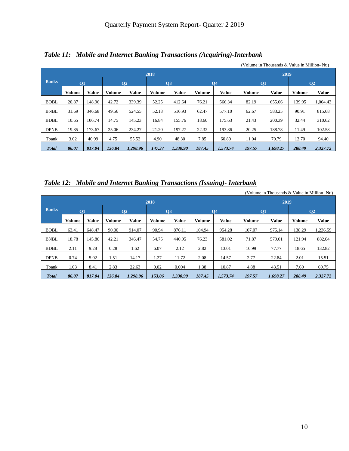| Table 11: Mobile and Internet Banking Transactions (Acquiring)-Interbank |  |
|--------------------------------------------------------------------------|--|
|                                                                          |  |

|              |                                                                       |              |               |                 |               |                 |               |           |                 | (Volume in Thousands & Value in Million-Nu) |               |                |
|--------------|-----------------------------------------------------------------------|--------------|---------------|-----------------|---------------|-----------------|---------------|-----------|-----------------|---------------------------------------------|---------------|----------------|
|              |                                                                       |              |               |                 | 2018          |                 |               |           |                 | 2019                                        |               |                |
| <b>Banks</b> | Q1                                                                    |              |               | $\overline{O2}$ |               | $\overline{O3}$ |               | <b>O4</b> | $\overline{O1}$ |                                             |               | Q <sub>2</sub> |
|              | <b>Volume</b>                                                         | <b>Value</b> | <b>Volume</b> | Value           | <b>Volume</b> | <b>Value</b>    | <b>Volume</b> | Value     | <b>Volume</b>   | <b>Value</b>                                | <b>Volume</b> | <b>Value</b>   |
| <b>BOBL</b>  | 20.87                                                                 | 148.96       | 42.72         | 339.39          | 52.25         | 412.64          | 76.21         | 566.34    | 82.19           | 655.06                                      | 139.95        | 1,004.43       |
| <b>BNBL</b>  | 31.69                                                                 | 346.68       | 49.56         | 524.55          | 52.18         | 516.93          | 62.47         | 577.10    | 62.67           | 583.25                                      | 90.91         | 815.68         |
| <b>BDBL</b>  | 10.65                                                                 | 106.74       | 14.75         | 145.23          | 16.84         | 155.76          | 18.60         | 175.63    | 21.43           | 200.39                                      | 32.44         | 310.62         |
| <b>DPNB</b>  | 19.85                                                                 | 173.67       | 25.06         | 234.27          | 21.20         | 197.27          | 22.32         | 193.86    | 20.25           | 188.78                                      | 11.49         | 102.58         |
| Tbank        | 3.02                                                                  | 40.99        | 4.75          | 55.52           | 4.90          | 48.30           | 7.85          | 60.80     | 11.04           | 70.79                                       | 13.70         | 94.40          |
| <b>Total</b> | 817.04<br>1.298.96<br>147.37<br>187.45<br>86.07<br>136.84<br>1.330.90 |              |               |                 |               |                 |               |           | 197.57          | 1.698.27                                    | 288.49        | 2,327.72       |

# *Table 12: Mobile and Internet Banking Transactions (Issuing)- Interbank*

|              |                        |                           |               |               | 2018           |              |                 |              |                         | 2019         |                 |              |
|--------------|------------------------|---------------------------|---------------|---------------|----------------|--------------|-----------------|--------------|-------------------------|--------------|-----------------|--------------|
| <b>Banks</b> | <b>O1</b>              |                           |               | $\mathbf{O}2$ | Q <sub>3</sub> |              | $\overline{O4}$ |              | $\overline{\text{O}}$ 1 |              | $\overline{O2}$ |              |
|              | <b>Value</b><br>Volume |                           | <b>Volume</b> | <b>Value</b>  | <b>Volume</b>  | <b>Value</b> | <b>Volume</b>   | <b>Value</b> | <b>Volume</b>           | <b>Value</b> | <b>Volume</b>   | <b>Value</b> |
| <b>BOBL</b>  | 63.41                  | 914.07<br>648.47<br>90.00 |               |               |                | 876.11       | 104.94          | 954.28       | 107.07                  | 975.14       | 138.29          | 1,236.59     |
| <b>BNBL</b>  | 18.78                  | 145.86<br>42.21<br>346.47 |               | 54.75         | 440.95         | 76.23        | 581.02          | 71.87        | 579.01                  | 121.94       | 882.04          |              |
| <b>BDBL</b>  | 2.11                   | 9.28                      | 0.28          | 1.62          | 6.07           | 2.12         | 2.82            | 13.01        | 10.99                   | 77.77        | 18.65           | 132.82       |
| <b>DPNB</b>  | 0.74                   | 5.02<br>1.51<br>14.17     |               |               | 1.27           | 11.72        | 2.08            | 14.57        | 2.77                    | 22.84        | 2.01            | 15.51        |
| Tbank        | 1.03                   | 2.83<br>8.41<br>22.63     |               |               | 0.02           | 0.004        | 1.38            | 10.87        | 4.88                    | 43.51        | 7.60            | 60.75        |
| <b>Total</b> | 86.07                  | 817.04                    | 136.84        | 1.298.96      | 153.06         | 1.330.90     | 187.45          | 1,573.74     | 197.57                  | 1.698.27     | 288.49          | 2.327.72     |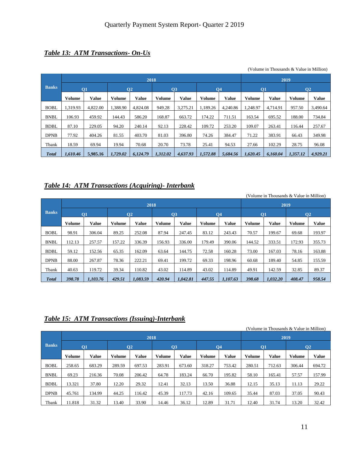## *Table 13: ATM Transactions- On-Us*

|              |                                             |          |                  |                 |          |              |           |              | $\alpha$ v ording in Thousands $\alpha$ value in Nimital |              |                 |              |  |  |
|--------------|---------------------------------------------|----------|------------------|-----------------|----------|--------------|-----------|--------------|----------------------------------------------------------|--------------|-----------------|--------------|--|--|
|              |                                             |          |                  | 2018            |          |              |           |              | 2019                                                     |              |                 |              |  |  |
| <b>Banks</b> |                                             | Q1       |                  | $\overline{O2}$ | Q3       |              | <b>O4</b> |              | $\overline{\textbf{O}}$                                  |              | $\overline{O2}$ |              |  |  |
|              | Value<br>Volume<br>Volume                   |          |                  | Value           | Volume   | <b>Value</b> | Volume    | <b>Value</b> | Volume                                                   | <b>Value</b> | <b>Volume</b>   | <b>Value</b> |  |  |
| <b>BOBL</b>  | .319.93<br>4.822.00<br>1.388.90<br>4.824.08 |          |                  |                 | 949.28   | 3.275.21     | 1.189.26  | 4,240.86     | 1.248.97                                                 | 4.714.91     | 957.50          | 3.490.64     |  |  |
| <b>BNBL</b>  | 106.93                                      | 459.92   | 586.20<br>144.43 |                 | 168.87   | 663.72       | 174.22    | 711.51       | 163.54                                                   | 695.52       | 188.00          | 734.84       |  |  |
| <b>BDBL</b>  | 87.10                                       | 229.05   | 94.20            | 240.14          | 92.13    | 228.42       | 109.72    | 253.20       | 109.07                                                   | 263.41       | 116.44          | 257.67       |  |  |
| <b>DPNB</b>  | 77.92                                       | 404.26   | 81.55            | 403.70          | 81.03    | 396.80       | 74.26     | 384.47       | 71.22                                                    | 383.91       | 66.43           | 349.98       |  |  |
| Tbank        | 18.59<br>69.94<br>19.94<br>70.68            |          |                  | 20.70           | 73.78    | 25.41        | 94.53     | 27.66        | 102.29                                                   | 28.75        | 96.08           |              |  |  |
| <b>Total</b> | 1,610.46                                    | 5,985.16 | 1,729.02         | 6,124.79        | 1,312.02 | 4,637.93     | 1,572.88  | 5,684.56     | 1,620.45                                                 | 6,160.04     | 1,357.12        | 4,929.21     |  |  |

#### (Volume in Thousands & Value in Million)

#### *Table 14: ATM Transactions (Acquiring)- Interbank*

|              |                                                       |              |        |                  |                 |              |               |              |                 |              | (Volume in Thousands & Value in Million) |              |
|--------------|-------------------------------------------------------|--------------|--------|------------------|-----------------|--------------|---------------|--------------|-----------------|--------------|------------------------------------------|--------------|
|              |                                                       |              |        | 2018             |                 |              |               |              |                 |              | 2019                                     |              |
| <b>Banks</b> |                                                       | Q1           |        | Q <sub>2</sub>   | $\overline{O3}$ |              | <b>O4</b>     |              | $\overline{O1}$ |              | $\overline{O2}$                          |              |
|              | Volume                                                | <b>Value</b> | Volume | <b>Value</b>     | <b>Volume</b>   | <b>Value</b> | <b>Volume</b> | <b>Value</b> | <b>Volume</b>   | <b>Value</b> | <b>Volume</b>                            | <b>Value</b> |
| <b>BOBL</b>  | 98.91                                                 | 306.04       | 89.25  | 252.08           | 87.94           | 247.45       | 83.12         | 243.43       | 70.57           | 199.67       | 69.68                                    | 193.97       |
| <b>BNBL</b>  | 112.13                                                | 257.57       | 157.22 | 336.39<br>156.93 |                 | 336.00       | 179.49        | 390.06       | 144.52          | 333.51       | 172.93                                   | 355.73       |
| <b>BDBL</b>  | 59.12                                                 | 152.56       | 65.35  | 162.09           | 63.64           | 144.75       | 72.58         | 160.28       | 73.00           | 167.03       | 78.16                                    | 163.88       |
| <b>DPNB</b>  | 88.00<br>267.87<br>78.36<br>222.21<br>199.72<br>69.41 |              |        |                  |                 |              | 69.33         | 198.96       | 60.68           | 189.40       | 54.85                                    | 155.59       |
| Tbank        | 40.63<br>119.72<br>39.34<br>110.82<br>43.02           |              |        |                  |                 | 114.89       | 43.02         | 114.89       | 49.91           | 142.59       | 32.85                                    | 89.37        |
| <b>Total</b> | 398.78                                                | 1,103.76     | 429.51 | 1,083.59         | 1,107.63        | 398.68       | 1,032.20      | 408.47       | 958.54          |              |                                          |              |

#### *Table 15: ATM Transactions (Issuing)-Interbank*

|              |                               |                         |                 |                |        |              |               | (Volume in Thousands & Value in Million) |                 |              |                |        |
|--------------|-------------------------------|-------------------------|-----------------|----------------|--------|--------------|---------------|------------------------------------------|-----------------|--------------|----------------|--------|
|              |                               |                         |                 | 2018           |        |              |               |                                          |                 |              | 2019           |        |
| <b>Banks</b> |                               | Q1                      |                 | O <sub>2</sub> | Q3     |              | <b>O4</b>     |                                          | $\overline{O1}$ |              | Q <sub>2</sub> |        |
|              | <b>Value</b><br><b>Volume</b> |                         | Volume          | Value          | Volume | <b>Value</b> | <b>Volume</b> | Value                                    | <b>Volume</b>   | <b>Value</b> | Volume         | Value  |
| <b>BOBL</b>  | 258.65                        | 683.29                  | 289.59          | 697.53         | 283.91 | 673.60       | 318.27        | 753.42                                   | 280.51          | 712.63       | 306.44         | 694.72 |
| <b>BNBL</b>  | 69.23                         | 216.36                  | 70.08           | 206.42         | 64.78  | 183.24       | 66.70         | 195.82                                   | 58.10           | 165.41       | 57.57          | 157.99 |
| <b>BDBL</b>  | 13.321                        | 37.80                   | 12.20           | 29.32          | 12.41  | 32.13        | 13.50         | 36.88                                    | 12.15           | 35.13        | 11.13          | 29.22  |
| <b>DPNB</b>  | 45.761                        | 134.99                  | 44.25<br>116.42 |                | 45.39  | 117.73       | 42.16         | 109.65                                   | 35.44           | 87.03        | 37.05          | 90.43  |
| Tbank        | 11.818                        | 33.90<br>31.32<br>13.40 |                 |                | 14.46  | 36.12        | 12.89         | 31.71                                    | 12.40           | 31.74        | 13.20          | 32.42  |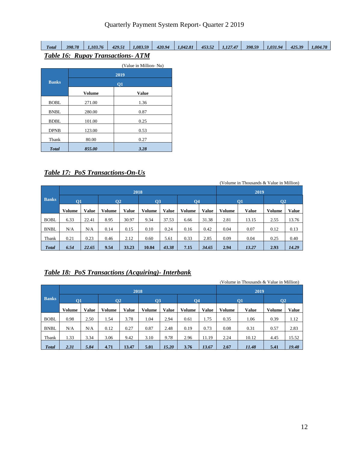| <b>Total</b> | 398.78 | .103.76                                 | 429.51 | 0.083.59 | 420.94 | 1.042.81 | 453.52 | 1.127.47 | 398.59 | 1.031.94 | 425.39 | .004.78 |
|--------------|--------|-----------------------------------------|--------|----------|--------|----------|--------|----------|--------|----------|--------|---------|
|              |        | <b>Table 16: Rupay Transactions-ATM</b> |        |          |        |          |        |          |        |          |        |         |

|              |               | (Value in Million-Nu) |
|--------------|---------------|-----------------------|
|              |               | 2019                  |
| <b>Banks</b> |               | Q1                    |
|              | <b>Volume</b> | <b>Value</b>          |
| <b>BOBL</b>  | 271.00        | 1.36                  |
| <b>BNBL</b>  | 280.00        | 0.87                  |
| <b>BDBL</b>  | 101.00        | 0.25                  |
| <b>DPNB</b>  | 123.00        | 0.53                  |
| Tbank        | 80.00         | 0.27                  |
| <b>Total</b> | 855.00        | 3.28                  |

#### *Table 17: PoS Transactions-On-Us*

|              |                                                          |       |                | 2018  |                |              |                |              | (Volume in Thousands & Value in Million)<br>2019 |       |                |       |  |  |
|--------------|----------------------------------------------------------|-------|----------------|-------|----------------|--------------|----------------|--------------|--------------------------------------------------|-------|----------------|-------|--|--|
| <b>Banks</b> | Q1                                                       |       | Q <sub>2</sub> |       | Q <sub>3</sub> |              | Q <sub>4</sub> |              | $\overline{O1}$                                  |       | Q <sub>2</sub> |       |  |  |
|              | <b>Value</b><br>Volume<br>Value<br>Volume                |       |                |       | Volume         | <b>Value</b> | Volume         | <b>Value</b> | Volume                                           | Value | Volume         | Value |  |  |
| <b>BOBL</b>  | 6.33                                                     | 22.41 | 8.95           | 30.97 |                | 37.53        | 6.66           | 31.38        | 2.81                                             | 13.15 | 2.55           | 13.76 |  |  |
| <b>BNBL</b>  | N/A                                                      | N/A   | 0.15<br>0.14   |       |                | 0.24         | 0.16           | 0.42         | 0.04                                             | 0.07  | 0.12           | 0.13  |  |  |
| Tbank        | 0.23<br>0.33<br>0.21<br>0.46<br>2.12<br>0.60<br>5.61     |       |                |       |                |              |                | 2.85         | 0.09                                             | 0.04  | 0.25           | 0.40  |  |  |
| <b>Total</b> | 9.54<br>33.23<br>6.54<br>22.65<br>10.04<br>43.38<br>7.15 |       |                |       |                |              |                | 34.65        | 2.94                                             | 13.27 | 2.93           | 14.29 |  |  |

#### *Table 18: PoS Transactions (Acquiring)- Interbank*

|               |                                                        |      |                |      |               |              |           |              |               | (Volume in Thousands & Value in Million) |                |       |  |  |
|---------------|--------------------------------------------------------|------|----------------|------|---------------|--------------|-----------|--------------|---------------|------------------------------------------|----------------|-------|--|--|
|               |                                                        |      |                | 2018 |               |              |           |              | 2019          |                                          |                |       |  |  |
| <b>Banks</b>  | <b>O1</b>                                              |      | Q <sub>2</sub> |      | Q3            |              | <b>O4</b> |              | Q1            |                                          | Q <sub>2</sub> |       |  |  |
|               | <b>Value</b><br><b>Volume</b><br>Value<br>Volume       |      |                |      | <b>Volume</b> | <b>Value</b> | Volume    | <b>Value</b> | <b>Volume</b> | <b>Value</b>                             | Volume         | Value |  |  |
| <b>BOBL</b>   | 0.98                                                   | 2.50 | 1.54           | 3.78 |               | 2.94         | 0.61      | 1.75         | 0.35          | 1.06                                     | 0.39           | 1.12  |  |  |
| <b>BNBL</b>   | N/A                                                    | N/A  | 0.27<br>0.12   |      | 0.87          | 2.48         | 0.19      | 0.73         | 0.08          | 0.31                                     | 0.57           | 2.83  |  |  |
| Tbank         | 1.33                                                   | 3.34 | 3.06           | 9.42 | 3.10          | 9.78         | 2.96      | 11.19        | 2.24          | 10.12                                    | 4.45           | 15.52 |  |  |
| <b>T</b> otal | 5.84<br>3.76<br>2.31<br>4.71<br>13.47<br>5.01<br>15.20 |      |                |      |               |              |           | 13.67        | 2.67          | 11.48                                    | 5.41           | 19.48 |  |  |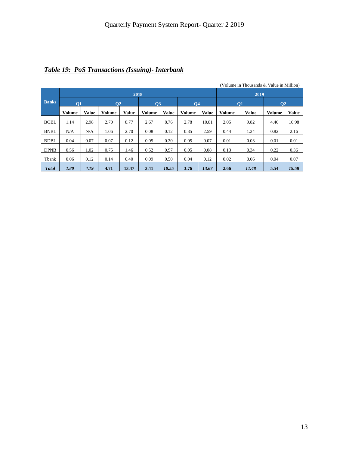|               |                                                              |      |                 |              |               |              |               |              |               | (Volume in Thousands & Value in Million) |               |              |
|---------------|--------------------------------------------------------------|------|-----------------|--------------|---------------|--------------|---------------|--------------|---------------|------------------------------------------|---------------|--------------|
|               |                                                              |      |                 | 2018         |               |              |               |              |               | 2019                                     |               |              |
| <b>Banks</b>  | Q1                                                           |      | $\overline{O2}$ |              | <b>O3</b>     |              | <b>O4</b>     |              | <b>O1</b>     |                                          | $\mathbf{O}2$ |              |
|               | <b>Value</b><br><b>Volume</b><br><b>Volume</b>               |      |                 | <b>Value</b> | <b>Volume</b> | <b>Value</b> | <b>Volume</b> | <b>Value</b> | <b>Volume</b> | <b>Value</b>                             | <b>Volume</b> | <b>Value</b> |
| <b>BOBL</b>   | 1.14                                                         | 2.98 | 2.70            | 8.77         | 2.67          | 8.76         | 2.78          | 10.81        | 2.05          | 9.82                                     | 4.46          | 16.98        |
| <b>BNBL</b>   | N/A                                                          | N/A  | 1.06            | 2.70         |               | 0.12         | 0.85          | 2.59         | 0.44          | 1.24                                     | 0.82          | 2.16         |
| <b>BDBL</b>   | 0.04                                                         | 0.07 | 0.07            | 0.12         | 0.05          | 0.20         | 0.05          | 0.07         | 0.01          | 0.03                                     | 0.01          | 0.01         |
| <b>DPNB</b>   | 1.02<br>0.97<br>0.05<br>0.08<br>0.56<br>0.75<br>1.46<br>0.52 |      |                 |              |               |              |               |              | 0.13          | 0.34                                     | 0.22          | 0.36         |
| Tbank         | 0.12<br>0.12<br>0.06<br>0.14<br>0.40<br>0.09<br>0.50<br>0.04 |      |                 |              |               |              |               |              | 0.02          | 0.06                                     | 0.04          | 0.07         |
| <b>T</b> otal | 1.80                                                         | 4.19 | 4.71            | 13.47        | 13.67         | 2.66         | 11.48         | 5.54         | 19.58         |                                          |               |              |

# *Table 19: PoS Transactions (Issuing)- Interbank*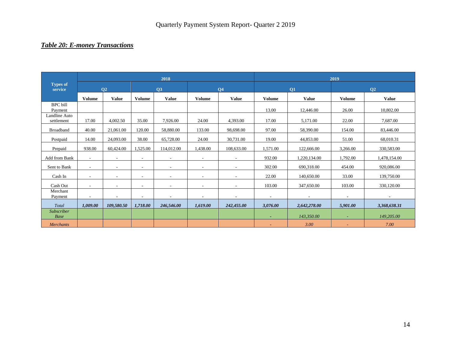# *Table 20: E-money Transactions*

|                             |                          |                          |                          | 2018                     |                          |                          |                    |              | 2019           |                |
|-----------------------------|--------------------------|--------------------------|--------------------------|--------------------------|--------------------------|--------------------------|--------------------|--------------|----------------|----------------|
| <b>Types of</b><br>service  |                          | <b>O2</b>                |                          | Q3                       |                          | <b>Q4</b>                |                    | Q1           |                | Q <sub>2</sub> |
|                             | <b>Volume</b>            | <b>Value</b>             | <b>Volume</b>            | <b>Value</b>             | <b>Volume</b>            | <b>Value</b>             | <b>Volume</b>      | <b>Value</b> | <b>Volume</b>  | <b>Value</b>   |
| <b>BPC</b> bill<br>Payment  |                          |                          |                          |                          |                          |                          | 13.00              | 12,446.00    | 26.00          | 10.802.00      |
| Landline Auto<br>settlement | 17.00                    | 4,002.50                 | 35.00                    | 7,926.00                 | 24.00                    | 4,393.00                 | 17.00              | 5,171.00     | 22.00          | 7,687.00       |
| <b>Broadband</b>            | 40.00                    | 21,061.00                | 120.00                   | 58,880.00                | 133.00                   | 98,698.00                | 97.00<br>58,390.00 |              | 154.00         | 83,446.00      |
| Postpaid                    | 14.00                    | 24,093.00                | 38.00                    | 65,728.00                | 24.00                    | 30,731.00                | 19.00              | 44,853.00    | 51.00          | 68,010.31      |
| Prepaid                     | 938.00                   | 60,424.00                | 1,525.00                 | 114,012.00               | 1,438.00                 | 108,633.00               | 1,571.00           | 122,666.00   | 3,266.00       | 330,583.00     |
| Add from Bank               | $\sim$                   | $\overline{\phantom{a}}$ | $\sim$                   | $\sim$                   | $\sim$                   | $\overline{\phantom{a}}$ | 932.00             | 1,220,134.00 | 1,792.00       | 1,478,154.00   |
| Sent to Bank                | $\sim$                   | $\overline{\phantom{a}}$ | $\sim$                   | $\sim$                   | $\sim$                   | ٠                        | 302.00             | 690,318.00   | 454.00         | 920,086.00     |
| Cash In                     | $\overline{\phantom{a}}$ |                          | $\overline{\phantom{a}}$ | $\overline{\phantom{a}}$ | $\overline{\phantom{a}}$ |                          | 22.00              | 140,650.00   | 33.00          | 139,750.00     |
| Cash Out                    | $\sim$                   | $\sim$                   | $\blacksquare$           | $\sim$                   | $\sim$                   | $\sim$                   | 103.00             | 347,650.00   | 103.00         | 330,120.00     |
| Merchant<br>Payment         | $\blacksquare$           |                          | $\blacksquare$           | $\blacksquare$           | $\blacksquare$           |                          | $\blacksquare$     |              | $\blacksquare$ |                |
| Total                       | 1,009.00                 | 109,580.50               | 1,718.00                 | 246,546.00               | 1,619.00                 | 242,455.00               | 3,076.00           | 2,642,278.00 | 5,901.00       | 3,368,638.31   |
| <b>Subscriber</b><br>Base   |                          |                          |                          |                          |                          |                          | ٠                  | 143,350.00   | ٠              | 149,205.00     |
| <b>Merchants</b>            |                          |                          |                          |                          |                          |                          |                    | 3.00         | ٠              | 7.00           |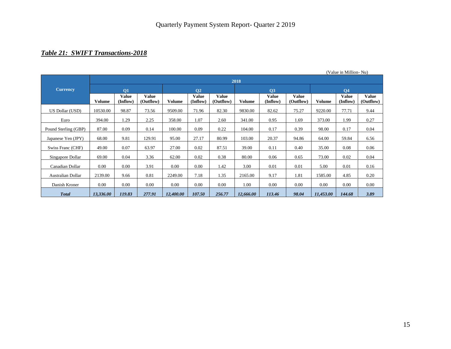# *Table 21: SWIFT Transactions-2018*

|                      | (Value in Million-Nu) |                          |                           |           |                          |                           |               |                          |                           |               |                          |                           |
|----------------------|-----------------------|--------------------------|---------------------------|-----------|--------------------------|---------------------------|---------------|--------------------------|---------------------------|---------------|--------------------------|---------------------------|
|                      |                       |                          |                           |           |                          |                           | 2018          |                          |                           |               |                          |                           |
| <b>Currency</b>      |                       | <b>O1</b>                |                           |           | <b>O<sub>2</sub></b>     |                           |               | <b>O3</b>                |                           |               | <b>O4</b>                |                           |
|                      | <b>Volume</b>         | <b>Value</b><br>(Inflow) | <b>Value</b><br>(Outflow) | Volume    | <b>Value</b><br>(Inflow) | <b>Value</b><br>(Outflow) | <b>Volume</b> | <b>Value</b><br>(Inflow) | <b>Value</b><br>(Outflow) | <b>Volume</b> | <b>Value</b><br>(Inflow) | <b>Value</b><br>(Outflow) |
| US Dollar (USD)      | 10530.00              | 98.87                    | 73.56                     | 9509.00   | 71.96                    | 82.30                     | 9830.00       | 82.62                    | 75.27                     | 9220.00       | 77.71                    | 9.44                      |
| Euro                 | 394.00                | 1.29                     | 2.25                      | 358.00    | 1.07                     | 2.60                      | 341.00        | 0.95                     | 1.69                      | 373.00        | 1.99                     | 0.27                      |
| Pound Sterling (GBP) | 87.00                 | 0.09                     | 0.14                      | 100.00    | 0.09                     | 0.22                      | 104.00        | 0.17                     | 0.39                      | 98.00         | 0.17                     | 0.04                      |
| Japanese Yen (JPY)   | 68.00                 | 9.81                     | 129.91                    | 95.00     | 27.17                    | 80.99                     | 103.00        | 20.37                    | 94.86                     | 64.00         | 59.84                    | 6.56                      |
| Swiss Franc (CHF)    | 49.00                 | 0.07                     | 63.97                     | 27.00     | 0.02                     | 87.51                     | 39.00         | 0.11                     | 0.40                      | 35.00         | 0.08                     | 0.06                      |
| Singapore Dollar     | 69.00                 | 0.04                     | 3.36                      | 62.00     | 0.02                     | 0.38                      | 80.00         | 0.06                     | 0.65                      | 73.00         | 0.02                     | 0.04                      |
| Canadian Dollar      | 0.00                  | 0.00                     | 3.91                      | 0.00      | 0.00                     | 1.42                      | 3.00          | 0.01                     | 0.01                      | 5.00          | 0.01                     | 0.16                      |
| Australian Dollar    | 2139.00               | 9.66                     | 0.81                      | 2249.00   | 7.18                     | 1.35                      | 2165.00       | 9.17                     | 1.81                      | 1585.00       | 4.85                     | 0.20                      |
| Danish Kroner        | 0.00                  | 0.00                     | $0.00\,$                  | 0.00      | 0.00                     | 0.00                      | 1.00          | 0.00                     | 0.00                      | 0.00          | 0.00                     | 0.00                      |
| <b>Total</b>         | 13,336.00             | 119.83                   | 277.91                    | 12,400.00 | 107.50                   | 256.77                    | 12,666.00     | 113.46                   | 98.04                     | 11,453.00     | 144.68                   | 3.89                      |

(Value in Million- Nu)